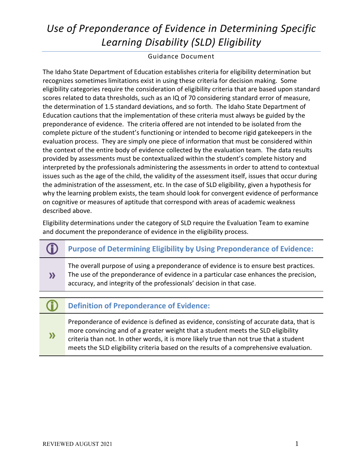# *Use of Preponderance of Evidence in Determining Specific Learning Disability (SLD) Eligibility*

Guidance Document

The Idaho State Department of Education establishes criteria for eligibility determination but recognizes sometimes limitations exist in using these criteria for decision making. Some eligibility categories require the consideration of eligibility criteria that are based upon standard scores related to data thresholds, such as an IQ of 70 considering standard error of measure, the determination of 1.5 standard deviations, and so forth. The Idaho State Department of Education cautions that the implementation of these criteria must always be guided by the preponderance of evidence. The criteria offered are not intended to be isolated from the complete picture of the student's functioning or intended to become rigid gatekeepers in the evaluation process. They are simply one piece of information that must be considered within the context of the entire body of evidence collected by the evaluation team. The data results provided by assessments must be contextualized within the student's complete history and interpreted by the professionals administering the assessments in order to attend to contextual issues such as the age of the child, the validity of the assessment itself, issues that occur during the administration of the assessment, etc. In the case of SLD eligibility, given a hypothesis for why the learning problem exists, the team should look for convergent evidence of performance on cognitive or measures of aptitude that correspond with areas of academic weakness described above.

Eligibility determinations under the category of SLD require the Evaluation Team to examine and document the preponderance of evidence in the eligibility process.

- **Purpose of Determining Eligibility by Using Preponderance of Evidence:**
	- The overall purpose of using a preponderance of evidence is to ensure best practices. The use of the preponderance of evidence in a particular case enhances the precision, accuracy, and integrity of the professionals' decision in that case.
- **Definition of Preponderance of Evidence:**

Preponderance of evidence is defined as evidence, consisting of accurate data, that is more convincing and of a greater weight that a student meets the SLD eligibility criteria than not. In other words, it is more likely true than not true that a student meets the SLD eligibility criteria based on the results of a comprehensive evaluation.

**»**

**»**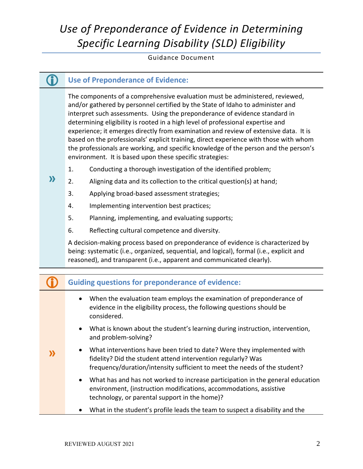# *Use of Preponderance of Evidence in Determining Specific Learning Disability (SLD) Eligibility*

### Guidance Document

## **Use of Preponderance of Evidence:**

The components of a comprehensive evaluation must be administered, reviewed, and/or gathered by personnel certified by the State of Idaho to administer and interpret such assessments. Using the preponderance of evidence standard in determining eligibility is rooted in a high level of professional expertise and experience; it emerges directly from examination and review of extensive data. It is based on the professionals' explicit training, direct experience with those with whom the professionals are working, and specific knowledge of the person and the person's environment. It is based upon these specific strategies:

- 1. Conducting a thorough investigation of the identified problem;
- **»** 2. Aligning data and its collection to the critical question(s) at hand;
	- 3. Applying broad-based assessment strategies;
	- 4. Implementing intervention best practices;
	- 5. Planning, implementing, and evaluating supports;
	- 6. Reflecting cultural competence and diversity.

A decision-making process based on preponderance of evidence is characterized by being: systematic (i.e., organized, sequential, and logical), formal (i.e., explicit and reasoned), and transparent (i.e., apparent and communicated clearly).

|  | <b>Guiding questions for preponderance of evidence:</b>                                                                                                                                                                          |
|--|----------------------------------------------------------------------------------------------------------------------------------------------------------------------------------------------------------------------------------|
|  | When the evaluation team employs the examination of preponderance of<br>$\bullet$<br>evidence in the eligibility process, the following questions should be<br>considered.                                                       |
|  | What is known about the student's learning during instruction, intervention,<br>$\bullet$<br>and problem-solving?                                                                                                                |
|  | What interventions have been tried to date? Were they implemented with<br>$\bullet$<br>fidelity? Did the student attend intervention regularly? Was<br>frequency/duration/intensity sufficient to meet the needs of the student? |
|  | What has and has not worked to increase participation in the general education<br>$\bullet$<br>environment, (instruction modifications, accommodations, assistive<br>technology, or parental support in the home)?               |
|  | What in the student's profile leads the team to suspect a disability and the                                                                                                                                                     |